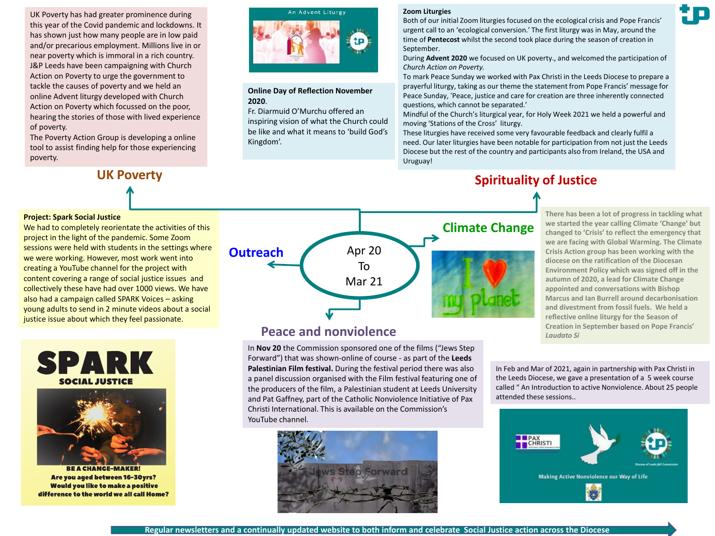UK Poverty has had greater prominence during this year of the Covid pandemic and lockdowns. It has shown just how many people are in low paid and/or precarious employment. Millions live in or near poverty which is immoral in a rich country. J&P Leeds have been campaigning with Church Action on Poverty to urge the government to tackle the causes of poverty and we held an online Advent liturgy developed with Church Action on Poverty which focussed on the poor, hearing the stories of those with lived experience of poverty.

The Poverty Action Group is developing a online tool to assist finding help for those experiencing poverty.

We had to completely reorientate the activities of this project in the light of the pandemic. Some Zoom

sessions were held with students in the settings where we were working. However, most work went into creating a YouTube channel for the project with

# An Advent Liturgy

#### **Online Day of Reflection November 2020**.

Fr. Diarmuid O'Murchu offered an inspiring vision of what the Church could be like and what it means to 'build God's Kingdom'.

#### **Zoom Liturgies**

Both of our initial Zoom liturgies focused on the ecological crisis and Pope Francis' urgent call to an 'ecological conversion.' The first liturgy was in May, around the time of **Pentecost** whilst the second took place during the season of creation in September.

During **Advent 2020** we focused on UK poverty., and welcomed the participation of *Church Action on Poverty.*

To mark Peace Sunday we worked with Pax Christi in the Leeds Diocese to prepare a prayerful liturgy, taking as our theme the statement from Pope Francis' message for Peace Sunday, 'Peace, justice and care for creation are three inherently connected questions, which cannot be separated.'

Mindful of the Church's liturgical year, for Holy Week 2021 we held a powerful and moving 'Stations of the Cross' liturgy.

These liturgies have received some very favourable feedback and clearly fulfil a need. Our later liturgies have been notable for participation from not just the Leeds Diocese but the rest of the country and participants also from Ireland, the USA and Uruguay!

## **UK Poverty Spirituality of Justice**

**There has been a lot of progress in tackling what we started the year calling Climate 'Change' but changed to 'Crisis' to reflect the emergency that we are facing with Global Warming. The Climate Crisis Action group has been working with the diocese on the ratification of the Diocesan Environment Policy which was signed off in the autumn of 2020, a lead for Climate Change appointed and conversations with Bishop Marcus and Ian Burrell around decarbonisation and divestment from fossil fuels. We held a reflective online liturgy for the Season of Creation in September based on Pope Francis'**  *Laudato Si* 

 $\begin{array}{c} \square \end{array}$ 

content covering a range of social justice issues and collectively these have had over 1000 views. We have also had a campaign called SPARK Voices – asking young adults to send in 2 minute videos about a social justice issue about which they feel passionate.



**Project: Spark Social Justice**



**BE A CHANGE-MAKER!** Are you aged between 16-30yrs? **Would you like to make a positive** difference to the world we all call Home?



## **Peace and nonviolence**

In **Nov 20** the Commission sponsored one of the films ("Jews Step Forward") that was shown-online of course - as part of the **Leeds Palestinian Film festival.** During the festival period there was also a panel discussion organised with the Film festival featuring one of the producers of the film, a Palestinian student at Leeds University and Pat Gaffney, part of the Catholic Nonviolence Initiative of Pax Christi International. This is available on the Commission's YouTube channel.



In Feb and Mar of 2021, again in partnership with Pax Christi in the Leeds Diocese, we gave a presentation of a 5 week course called " An Introduction to active Nonviolence. About 25 people attended these sessions..